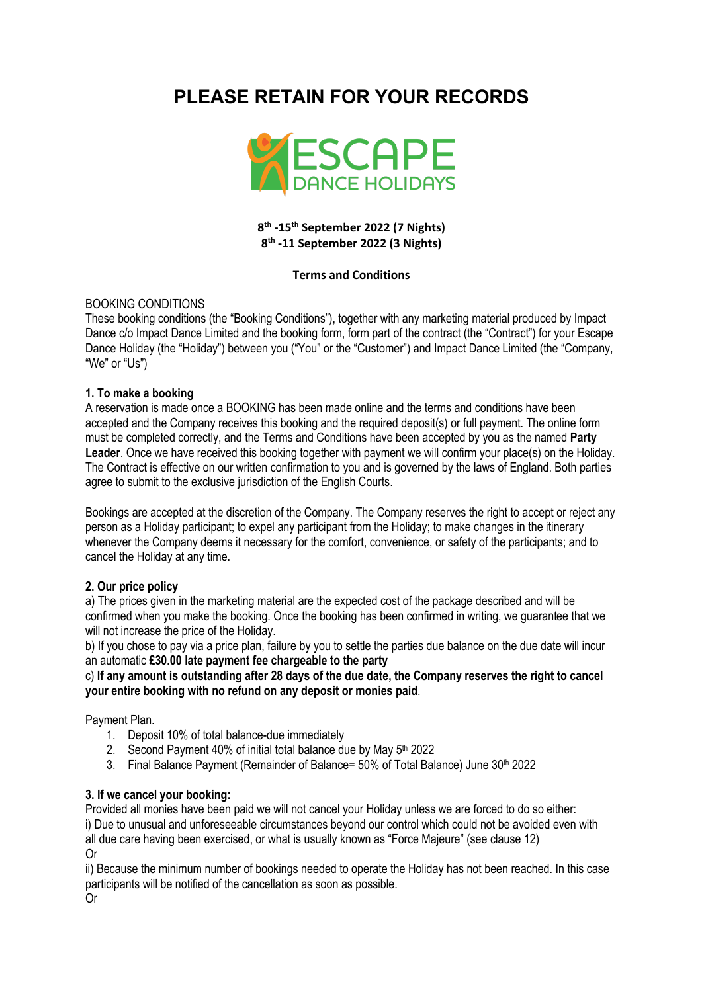# **PLEASE RETAIN FOR YOUR RECORDS**



# **8th -15th September 2022 (7 Nights) 8th -11 September 2022 (3 Nights)**

#### **Terms and Conditions**

# BOOKING CONDITIONS

These booking conditions (the "Booking Conditions"), together with any marketing material produced by Impact Dance c/o Impact Dance Limited and the booking form, form part of the contract (the "Contract") for your Escape Dance Holiday (the "Holiday") between you ("You" or the "Customer") and Impact Dance Limited (the "Company, "We" or "Us")

# **1. To make a booking**

A reservation is made once a BOOKING has been made online and the terms and conditions have been accepted and the Company receives this booking and the required deposit(s) or full payment. The online form must be completed correctly, and the Terms and Conditions have been accepted by you as the named **Party Leader**. Once we have received this booking together with payment we will confirm your place(s) on the Holiday. The Contract is effective on our written confirmation to you and is governed by the laws of England. Both parties agree to submit to the exclusive jurisdiction of the English Courts.

Bookings are accepted at the discretion of the Company. The Company reserves the right to accept or reject any person as a Holiday participant; to expel any participant from the Holiday; to make changes in the itinerary whenever the Company deems it necessary for the comfort, convenience, or safety of the participants; and to cancel the Holiday at any time.

# **2. Our price policy**

a) The prices given in the marketing material are the expected cost of the package described and will be confirmed when you make the booking. Once the booking has been confirmed in writing, we guarantee that we will not increase the price of the Holiday.

b) If you chose to pay via a price plan, failure by you to settle the parties due balance on the due date will incur an automatic **£30.00 late payment fee chargeable to the party**

c) **If any amount is outstanding after 28 days of the due date, the Company reserves the right to cancel your entire booking with no refund on any deposit or monies paid**.

#### Payment Plan.

- 1. Deposit 10% of total balance-due immediately
- 2. Second Payment 40% of initial total balance due by May  $5<sup>th</sup>$  2022
- 3. Final Balance Payment (Remainder of Balance= 50% of Total Balance) June 30<sup>th</sup> 2022

#### **3. If we cancel your booking:**

Provided all monies have been paid we will not cancel your Holiday unless we are forced to do so either: i) Due to unusual and unforeseeable circumstances beyond our control which could not be avoided even with all due care having been exercised, or what is usually known as "Force Majeure" (see clause 12) Or

ii) Because the minimum number of bookings needed to operate the Holiday has not been reached. In this case participants will be notified of the cancellation as soon as possible.

Or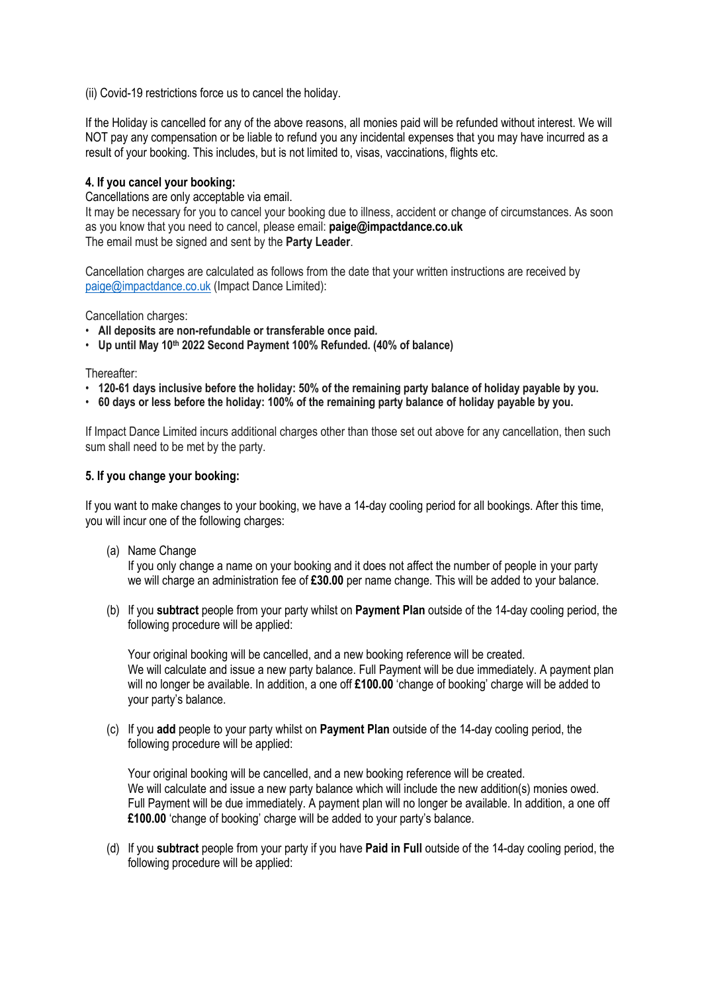(ii) Covid-19 restrictions force us to cancel the holiday.

If the Holiday is cancelled for any of the above reasons, all monies paid will be refunded without interest. We will NOT pay any compensation or be liable to refund you any incidental expenses that you may have incurred as a result of your booking. This includes, but is not limited to, visas, vaccinations, flights etc.

# **4. If you cancel your booking:**

Cancellations are only acceptable via email.

It may be necessary for you to cancel your booking due to illness, accident or change of circumstances. As soon as you know that you need to cancel, please email: **paige@impactdance.co.uk** The email must be signed and sent by the **Party Leader**.

Cancellation charges are calculated as follows from the date that your written instructions are received by paige@impactdance.co.uk (Impact Dance Limited):

Cancellation charges:

- **All deposits are non-refundable or transferable once paid.**
- **Up until May 10th 2022 Second Payment 100% Refunded. (40% of balance)**

Thereafter:

- **120-61 days inclusive before the holiday: 50% of the remaining party balance of holiday payable by you.**
- **60 days or less before the holiday: 100% of the remaining party balance of holiday payable by you.**

If Impact Dance Limited incurs additional charges other than those set out above for any cancellation, then such sum shall need to be met by the party.

# **5. If you change your booking:**

If you want to make changes to your booking, we have a 14-day cooling period for all bookings. After this time, you will incur one of the following charges:

(a) Name Change

If you only change a name on your booking and it does not affect the number of people in your party we will charge an administration fee of **£30.00** per name change. This will be added to your balance.

(b) If you **subtract** people from your party whilst on **Payment Plan** outside of the 14-day cooling period, the following procedure will be applied:

Your original booking will be cancelled, and a new booking reference will be created. We will calculate and issue a new party balance. Full Payment will be due immediately. A payment plan will no longer be available. In addition, a one off **£100.00** 'change of booking' charge will be added to your party's balance.

(c) If you **add** people to your party whilst on **Payment Plan** outside of the 14-day cooling period, the following procedure will be applied:

Your original booking will be cancelled, and a new booking reference will be created. We will calculate and issue a new party balance which will include the new addition(s) monies owed. Full Payment will be due immediately. A payment plan will no longer be available. In addition, a one off **£100.00** 'change of booking' charge will be added to your party's balance.

(d) If you **subtract** people from your party if you have **Paid in Full** outside of the 14-day cooling period, the following procedure will be applied: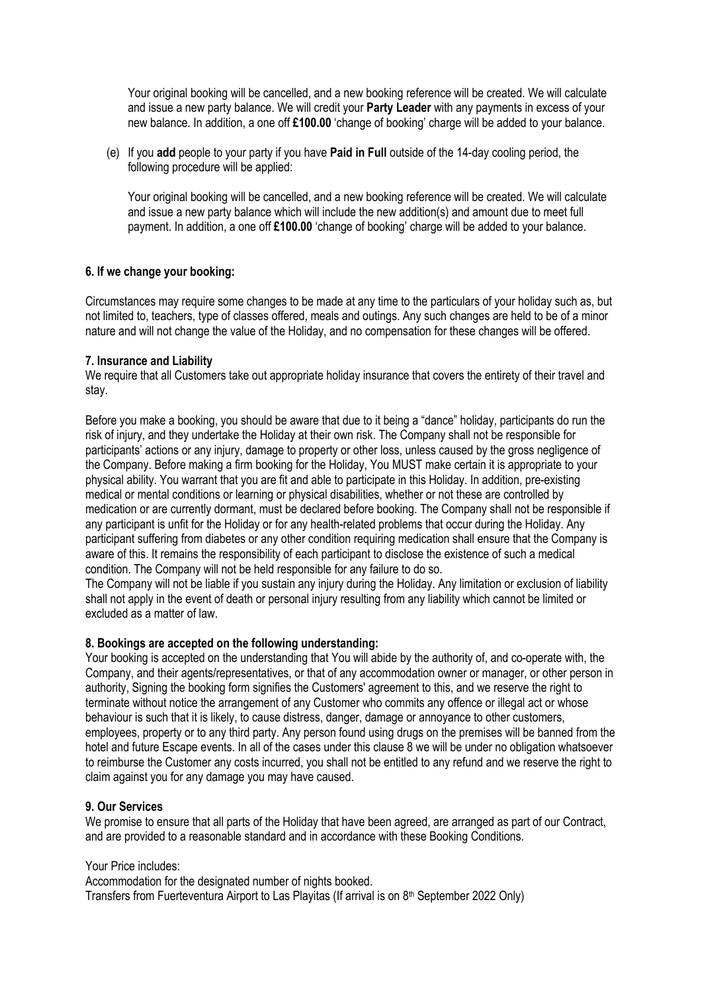Your original booking will be cancelled, and a new booking reference will be created. We will calculate and issue a new party balance. We will credit your **Party Leader** with any payments in excess of your new balance. In addition, a one off **£100.00** 'change of booking' charge will be added to your balance.

(e) If you **add** people to your party if you have **Paid in Full** outside of the 14-day cooling period, the following procedure will be applied:

Your original booking will be cancelled, and a new booking reference will be created. We will calculate and issue a new party balance which will include the new addition(s) and amount due to meet full payment. In addition, a one off **£100.00** 'change of booking' charge will be added to your balance.

# **6. If we change your booking:**

Circumstances may require some changes to be made at any time to the particulars of your holiday such as, but not limited to, teachers, type of classes offered, meals and outings. Any such changes are held to be of a minor nature and will not change the value of the Holiday, and no compensation for these changes will be offered.

#### **7. Insurance and Liability**

We require that all Customers take out appropriate holiday insurance that covers the entirety of their travel and stay.

Before you make a booking, you should be aware that due to it being a "dance" holiday, participants do run the risk of injury, and they undertake the Holiday at their own risk. The Company shall not be responsible for participants' actions or any injury, damage to property or other loss, unless caused by the gross negligence of the Company. Before making a firm booking for the Holiday, You MUST make certain it is appropriate to your physical ability. You warrant that you are fit and able to participate in this Holiday. In addition, pre-existing medical or mental conditions or learning or physical disabilities, whether or not these are controlled by medication or are currently dormant, must be declared before booking. The Company shall not be responsible if any participant is unfit for the Holiday or for any health-related problems that occur during the Holiday. Any participant suffering from diabetes or any other condition requiring medication shall ensure that the Company is aware of this. It remains the responsibility of each participant to disclose the existence of such a medical condition. The Company will not be held responsible for any failure to do so.

The Company will not be liable if you sustain any injury during the Holiday. Any limitation or exclusion of liability shall not apply in the event of death or personal injury resulting from any liability which cannot be limited or excluded as a matter of law.

#### **8. Bookings are accepted on the following understanding:**

Your booking is accepted on the understanding that You will abide by the authority of, and co-operate with, the Company, and their agents/representatives, or that of any accommodation owner or manager, or other person in authority, Signing the booking form signifies the Customers' agreement to this, and we reserve the right to terminate without notice the arrangement of any Customer who commits any offence or illegal act or whose behaviour is such that it is likely, to cause distress, danger, damage or annoyance to other customers, employees, property or to any third party. Any person found using drugs on the premises will be banned from the hotel and future Escape events. In all of the cases under this clause 8 we will be under no obligation whatsoever to reimburse the Customer any costs incurred, you shall not be entitled to any refund and we reserve the right to claim against you for any damage you may have caused.

#### **9. Our Services**

We promise to ensure that all parts of the Holiday that have been agreed, are arranged as part of our Contract, and are provided to a reasonable standard and in accordance with these Booking Conditions.

#### Your Price includes:

Accommodation for the designated number of nights booked.

Transfers from Fuerteventura Airport to Las Playitas (If arrival is on 8<sup>th</sup> September 2022 Only)